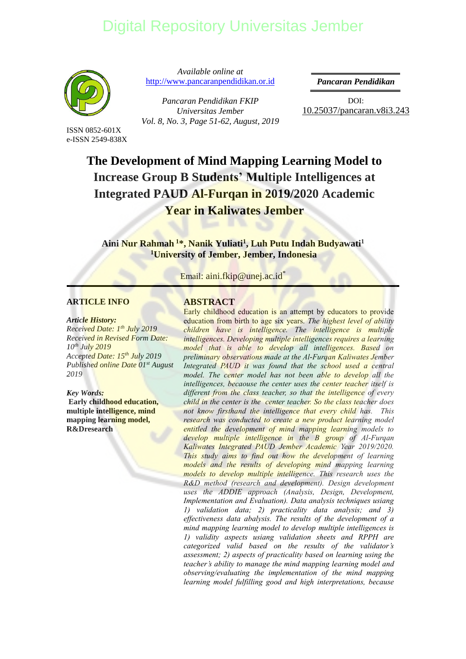

ISSN 0852-601X e-ISSN 2549-838X

*Available online at*  [http://www.pancaranpendidikan.or.id](http://www.pancaranpendidikan.or.id/)

*Pancaran Pendidikan FKIP Universitas Jember Vol. 8, No. 3, Page 51-62, August, 2019* *Pancaran Pendidikan* 

DOI: [10.25037/pancaran.v8i3.2](http://dx.doi.org/10.25037/pancaran.v7i1.129)43

## **The Development of Mind Mapping Learning Model to [Increase Group B Students' Multiple Intelligences at](http://repository.unej.ac.id/)  Integrated PAUD Al-Furqan in 2019/2020 Academic Year in Kaliwates Jember**

**Aini Nur Rahmah <sup>1</sup>\*, Nanik Yuliati<sup>1</sup> , Luh Putu Indah Budyawati<sup>1</sup> <sup>1</sup>University of Jember, Jember, Indonesia**

Email: aini.fkip@unej.ac.id<sup>\*</sup>

#### **ARTICLE INFO**

#### *Article History:*

*Received Date: 1th July 2019 Received in Revised Form Date: 10 th July 2019 Accepted Date: 15th July 2019 Published online Date 01st August 2019*

*Key Words:* **Early childhood education, multiple intelligence, mind mapping learning model, R&Dresearch**

#### **ABSTRACT**

Early childhood education is an attempt by educators to provide education from birth to age six years. *The highest level of ability children have is intelligence. The intelligence is multiple intelligences. Developing multiple intelligences requires a learning model that is able to develop all intelligences. Based on preliminary observations made at the Al-Furqan Kaliwates Jember Integrated PAUD it was found that the school used a central*  model. The center model has not been able to develop all the *intelligences, becaouse the center uses the center teacher itself is different from the class teacher, so that the intelligence of every child in the center is the center teacher. So the class teacher does not know firsthand the intelligence that every child has. This research was conducted to create a new product learning model entitled the development of mind mapping learning models to develop multiple intelligence in the B group of Al-Furqan Kaliwates Integrated PAUD Jember Academic Year 2019/2020. This study aims to find out how the development of learning models and the results of developing mind mapping learning models to develop multiple intelligence. This research uses the R&D method (research and development). Design development uses the ADDIE approach (Analysis, Design, Development, Implementation and Evaluation). Data analysis techniques usiang 1) validation data; 2) practicality data analysis; and 3) effectiveness data abalysis. The results of the development of a mind mapping learning model to develop multiple intelligences is 1) validity aspects usiang validation sheets and RPPH are categorized valid based on the results of the validator's assessment; 2) aspects of practicality based on learning using the teacher's ability to manage the mind mapping learning model and observing/evaluating the implementation of the mind mapping learning model fulfilling good and high interpretations, because*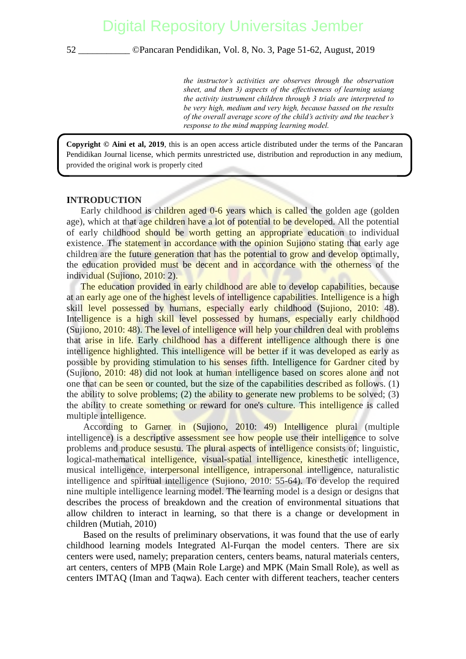*the instructor's activities are observes through the observation sheet, and then 3) aspects of the effectiveness of learning usiang the activity instrument children through 3 trials are interpreted to be very high, medium and very high, because bassed on the results of the overall average score of the child's activity and the teacher's response to the mind mapping learning model.*

**Copyright © Aini et al, 2019**, this is an open access article distributed under the terms of the Pancaran Pendidikan Journal license, which permits unrestricted use, distribution and reproduction in any medium, provided the original work is properly cited

#### **INTRODUCTION**

Early childhood is children aged 0-6 years which is called the golden age (golden [age\), which at that age children have a lot of potential to be developed. All the potentia](http://repository.unej.ac.id/)l of early childhood should be worth getting an appropriate education to individual existence. The statement in accordance with the opinion Sujiono stating that early age children are the future generation that has the potential to grow and develop optimally, the education provided must be decent and in accordance with the otherness of the individual (Sujiono, 2010: 2).

The education provided in early childhood are able to develop capabilities, because at an early age one of the highest levels of intelligence capabilities. Intelligence is a high skill level possessed by humans, especially early childhood (Sujiono, 2010: 48). Intelligence is a high skill level possessed by humans, especially early childhood (Sujiono, 2010: 48). The level of intelligence will help your children deal with problems that arise in life. Early childhood has a different intelligence although there is one intelligence highlighted. This intelligence will be better if it was developed as early as possible by providing stimulation to his senses fifth. Intelligence for Gardner cited by (Sujiono, 2010: 48) did not look at human intelligence based on scores alone and not one that can be seen or counted, but the size of the capabilities described as follows. (1) the ability to solve problems; (2) the ability to generate new problems to be solved; (3) the ability to create something or reward for one's culture. This intelligence is called multiple intelligence.

According to Garner in (Sujiono, 2010: 49) Intelligence plural (multiple intelligence) is a descriptive assessment see how people use their intelligence to solve problems and produce sesustu. The plural aspects of intelligence consists of; linguistic, logical-mathematical intelligence, visual-spatial intelligence, kinesthetic intelligence, musical intelligence, interpersonal intelligence, intrapersonal intelligence, naturalistic intelligence and spiritual intelligence (Sujiono, 2010: 55-64). To develop the required nine multiple intelligence learning model. The learning model is a design or designs that describes the process of breakdown and the creation of environmental situations that allow children to interact in learning, so that there is a change or development in children (Mutiah, 2010)

Based on the results of preliminary observations, it was found that the use of early childhood learning models Integrated Al-Furqan the model centers. There are six centers were used, namely; preparation centers, centers beams, natural materials centers, art centers, centers of MPB (Main Role Large) and MPK (Main Small Role), as well as centers IMTAQ (Iman and Taqwa). Each center with different teachers, teacher centers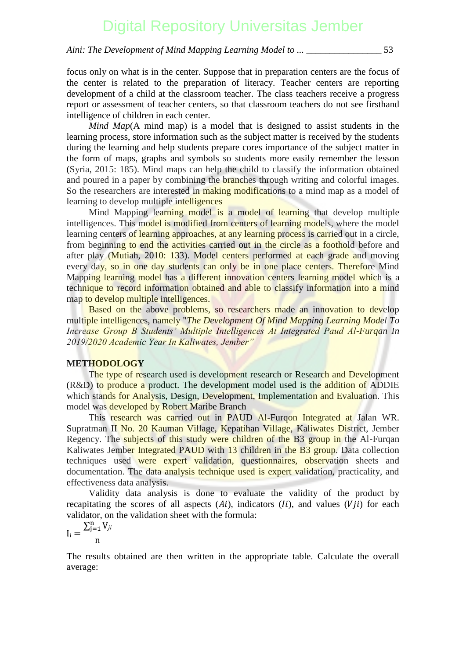### *Aini: The Development of Mind Mapping Learning Model to ... \_\_\_\_\_\_\_\_\_\_\_\_\_\_\_\_* 53

focus only on what is in the center. Suppose that in preparation centers are the focus of the center is related to the preparation of literacy. Teacher centers are reporting development of a child at the classroom teacher. The class teachers receive a progress report or assessment of teacher centers, so that classroom teachers do not see firsthand intelligence of children in each center.

*Mind Map*(A mind map) is a model that is designed to assist students in the learning process, store information such as the subject matter is received by the students during the learning and help students prepare cores importance of the subject matter in the form of maps, graphs and symbols so students more easily remember the lesson (Syria, 2015: 185). Mind maps can help the child to classify the information obtained [and poured in a paper by combining the branches through writing and colorful images](http://repository.unej.ac.id/). So the researchers are interested in making modifications to a mind map as a model of learning to develop multiple intelligences

Mind Mapping learning model is a model of learning that develop multiple intelligences. This model is modified from centers of learning models, where the model learning centers of learning approaches, at any learning process is carried out in a circle, from beginning to end the activities carried out in the circle as a foothold before and after play (Mutiah, 2010: 133). Model centers performed at each grade and moving every day, so in one day students can only be in one place centers. Therefore Mind Mapping learning model has a different innovation centers learning model which is a technique to record information obtained and able to classify information into a mind map to develop multiple intelligences.

Based on the above problems, so researchers made an innovation to develop multiple intelligences, namely "*The Development Of Mind Mapping Learning Model To Increase Group B Students' Multiple Intelligences At Integrated Paud Al-Furqan In 2019/2020 Academic Year In Kaliwates, Jember"*

### **METHODOLOGY**

The type of research used is development research or Research and Development (R&D) to produce a product. The development model used is the addition of ADDIE which stands for Analysis, Design, Development, Implementation and Evaluation. This model was developed by Robert Maribe Branch

This research was carried out in PAUD Al-Furqon Integrated at Jalan WR. Supratman II No. 20 Kauman Village, Kepatihan Village, Kaliwates District, Jember Regency. The subjects of this study were children of the B3 group in the Al-Furqan Kaliwates Jember Integrated PAUD with 13 children in the B3 group. Data collection techniques used were expert validation, questionnaires, observation sheets and documentation. The data analysis technique used is expert validation, practicality, and effectiveness data analysis.

Validity data analysis is done to evaluate the validity of the product by recapitating the scores of all aspects  $(Ai)$ , indicators  $(Ii)$ , and values  $(Vii)$  for each validator, on the validation sheet with the formula:

$$
I_i = \frac{\sum_{j=1}^n V_{ji}}{n}
$$

The results obtained are then written in the appropriate table. Calculate the overall average: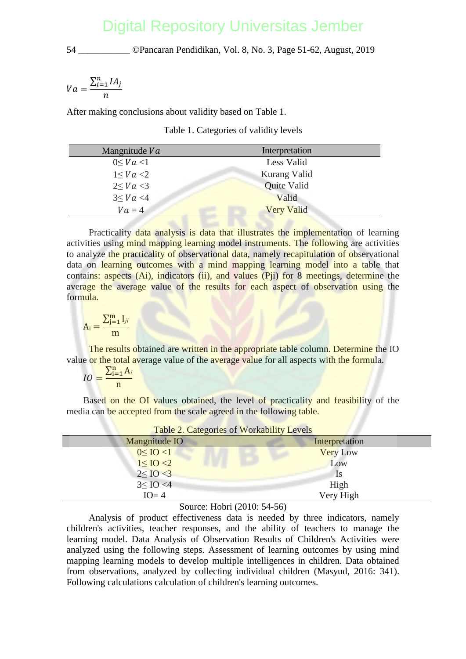$$
Va = \frac{\sum_{i=1}^{n} IA_j}{n}
$$

After making conclusions about validity based on Table 1.

Table 1. Categories of validity levels

| Mangnitude Va   | Interpretation    |
|-----------------|-------------------|
| $0 \leq Va < 1$ | Less Valid        |
| 1 < Va < 2      | Kurang Valid      |
| $2 \leq Va < 3$ | Quite Valid       |
| $3 \leq Va < 4$ | Valid             |
| $Va=4$          | <b>Very Valid</b> |

Practicality data analysis is data that illustrates the implementation of learning [activities using mind mapping learning model instruments. The following are activities](http://repository.unej.ac.id/) to analyze the practicality of observational data, namely recapitulation of observational data on learning outcomes with a mind mapping learning model into a table that contains: aspects (Ai), indicators (ii), and values (Pii) for 8 meetings, determine the average the average value of the results for each aspect of observation using the formula.

$$
A_i = \frac{\sum_{j=1}^m I_{ji}}{m}
$$

The results obtained are written in the appropriate table column. Determine the IO value or the total average value of the average value for all aspects with the formula.

$$
IO = \frac{\sum_{i=1}^{n} A_i}{n}
$$

Based on the OI values obtained, the level of practicality and feasibility of the media can be accepted from the scale agreed in the following table.

| Table 2. Categories of Workability Levels |                 |
|-------------------------------------------|-----------------|
| Mangnitude IO                             | Interpretation  |
| $0 \leq$ IO <1                            | <b>Very Low</b> |
| $1 \leq IO < 2$                           | Low             |
| $2 \leq I_0 < 3$                          | 1s              |
| $3 \leq$ IO <4                            | High            |
| $IO=4$                                    | Very High       |

Source: Hobri (2010: 54-56)

Analysis of product effectiveness data is needed by three indicators, namely children's activities, teacher responses, and the ability of teachers to manage the learning model. Data Analysis of Observation Results of Children's Activities were analyzed using the following steps. Assessment of learning outcomes by using mind mapping learning models to develop multiple intelligences in children. Data obtained from observations, analyzed by collecting individual children (Masyud, 2016: 341). Following calculations calculation of children's learning outcomes.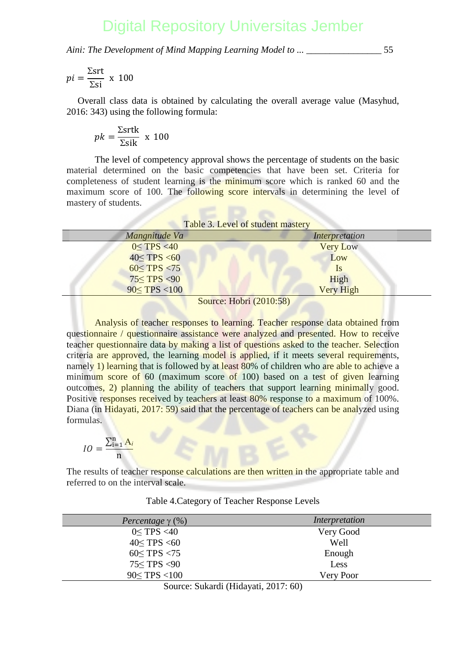*Aini: The Development of Mind Mapping Learning Model to ... \_\_\_\_\_\_\_\_\_\_\_\_\_\_\_\_* 55

$$
pi = \frac{\Sigma srt}{\Sigma s i} \times 100
$$

Overall class data is obtained by calculating the overall average value (Masyhud, 2016: 343) using the following formula:

$$
pk = \frac{\Sigma s r t k}{\Sigma s i k} \times 100
$$

The level of competency approval shows the percentage of students on the basic material determined on the basic competencies that have been set. Criteria for [completeness of student learning is the minimum score which is ranked 60 and the](http://repository.unej.ac.id/) maximum score of 100. The following score intervals in determining the level of mastery of students.

| Table 3. Level of student mastery |                  |  |
|-----------------------------------|------------------|--|
| Mangnitude Va                     | Interpretation   |  |
| $0 \leq TPS < 40$                 | <b>Very Low</b>  |  |
| $40 \leq TPS < 60$                | Low              |  |
| $60 \le TPS < 75$                 | <sup>1</sup> S   |  |
| $75 \leq TPS < 90$                | High             |  |
| $90 \le TPS < 100$                | <b>Very High</b> |  |
|                                   |                  |  |

Source: Hobri (2010:58)

Analysis of teacher responses to learning. Teacher response data obtained from questionnaire / questionnaire assistance were analyzed and presented. How to receive teacher questionnaire data by making a list of questions asked to the teacher. Selection criteria are approved, the learning model is applied, if it meets several requirements, namely 1) learning that is followed by at least 80% of children who are able to achieve a minimum score of 60 (maximum score of 100) based on a test of given learning outcomes, 2) planning the ability of teachers that support learning minimally good. Positive responses received by teachers at least 80% response to a maximum of 100%. Diana (in Hidayati, 2017: 59) said that the percentage of teachers can be analyzed using formulas.

$$
IO = \frac{\sum_{i=1}^{n} A_i}{n}
$$

The results of teacher response calculations are then written in the appropriate table and referred to on the interval scale.

| Percentage $\gamma$ (%)                   | Interpretation |
|-------------------------------------------|----------------|
| $0 \leq TPS < 40$                         | Very Good      |
| $40 \leq TPS < 60$                        | Well           |
| $60 \leq TPS < 75$                        | Enough         |
| 75 <tps <90<="" th=""><th>Less</th></tps> | Less           |
| 90 < TPS < 100                            | Very Poor      |

Table 4.Category of Teacher Response Levels

Source: Sukardi (Hidayati, 2017: 60)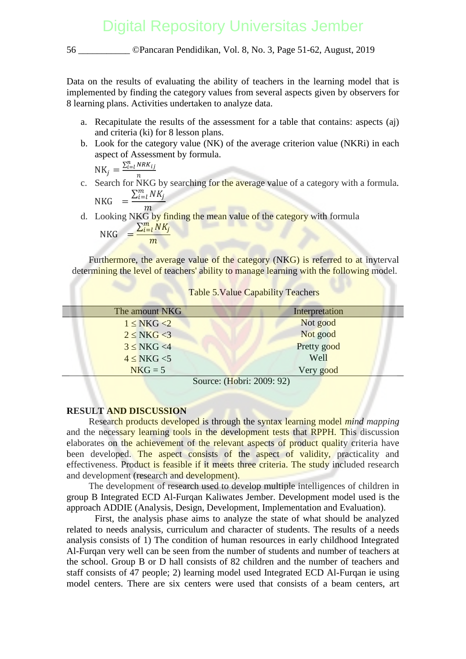Data on the results of evaluating the ability of teachers in the learning model that is implemented by finding the category values from several aspects given by observers for 8 learning plans. Activities undertaken to analyze data.

- a. Recapitulate the results of the assessment for a table that contains: aspects (aj) and criteria (ki) for 8 lesson plans.
- b. Look for the category value (NK) of the average criterion value (NKRi) in each aspect of Assessment by formula.

$$
NK_j = \frac{\sum_{i=l}^{n} NRK_{ij}}{n}
$$

c. Search for NKG by searching for the average value of a category with a formula. NKG  $= \frac{\sum_{i=l}^{m} NK_j}{\sum_{i=l}^{m} K_i}$ 

```
\overline{m}
```
d. Looking NKG by finding the mean value of the category with formula NKG  $=\frac{\sum_{i=1}^{m}NK_i}{N}$ 

$$
NKG = \frac{m}{m}
$$

Furthermore, the average value of the category (NKG) is referred to at invterval determining the level of teachers' ability to manage learning with the following model.

| The amount NKG  | Interpretation                                           |
|-----------------|----------------------------------------------------------|
| $1 \le NKG < 2$ | Not good                                                 |
| $2 \le NKG < 3$ | Not good                                                 |
| $3 \le NKG < 4$ | Pretty good                                              |
| $4 \le NKG < 5$ | Well                                                     |
| $NKG = 5$       | Very good                                                |
|                 | $\text{Source} \cdot (\text{Hohri} \cdot 2009 \cdot 92)$ |

#### Table 5.Value Capability Teachers

Source: (Hobri: 2009: 92)

### **RESULT AND DISCUSSION**

Research products developed is through the syntax learning model *mind mapping*  [and the necessary learning tools in the development tests that RPPH. This discussion](http://repository.unej.ac.id/) elaborates on the achievement of the relevant aspects of product quality criteria have been developed. The aspect consists of the aspect of validity, practicality and effectiveness. Product is feasible if it meets three criteria. The study included research and development (research and development).

The development of research used to develop multiple intelligences of children in group B Integrated ECD Al-Furqan Kaliwates Jember. Development model used is the approach ADDIE (Analysis, Design, Development, Implementation and Evaluation).

First, the analysis phase aims to analyze the state of what should be analyzed related to needs analysis, curriculum and character of students. The results of a needs analysis consists of 1) The condition of human resources in early childhood Integrated Al-Furqan very well can be seen from the number of students and number of teachers at the school. Group B or D hall consists of 82 children and the number of teachers and staff consists of 47 people; 2) learning model used Integrated ECD Al-Furqan ie using model centers. There are six centers were used that consists of a beam centers, art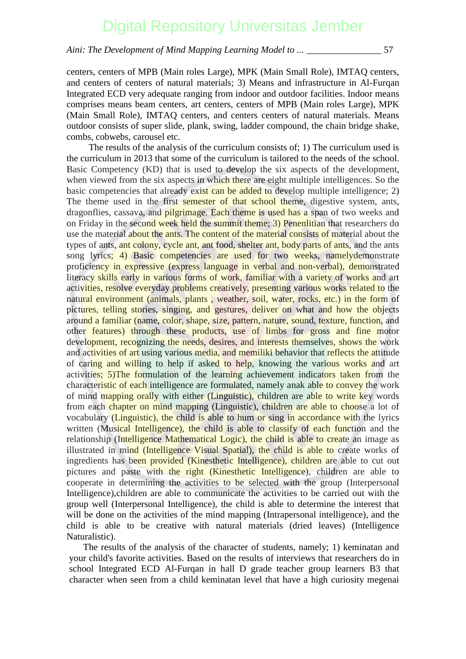*Aini: The Development of Mind Mapping Learning Model to ... \_\_\_\_\_\_\_\_\_\_\_\_\_\_\_\_* 57

centers, centers of MPB (Main roles Large), MPK (Main Small Role), IMTAQ centers, and centers of centers of natural materials; 3) Means and infrastructure in Al-Furqan Integrated ECD very adequate ranging from indoor and outdoor facilities. Indoor means comprises means beam centers, art centers, centers of MPB (Main roles Large), MPK (Main Small Role), IMTAQ centers, and centers centers of natural materials. Means outdoor consists of super slide, plank, swing, ladder compound, the chain bridge shake, combs, cobwebs, carousel etc.

The results of the analysis of the curriculum consists of; 1) The curriculum used is the curriculum in 2013 that some of the curriculum is tailored to the needs of the school. Basic Competency (KD) that is used to develop the six aspects of the development, [when viewed from the six aspects in which there are eight multiple intelligences. So the](http://repository.unej.ac.id/) basic competencies that already exist can be added to develop multiple intelligence; 2) The theme used in the first semester of that school theme, digestive system, ants, dragonflies, cassava, and pilgrimage. Each theme is used has a span of two weeks and on Friday in the second week held the summit theme; 3) Penenlitian that researchers do use the material about the ants. The content of the material consists of material about the types of ants, ant colony, cycle ant, ant food, shelter ant, body parts of ants, and the ants song lyrics; 4) Basic competencies are used for two weeks, namelydemonstrate proficiency in expressive (express language in verbal and non-verbal), demonstrated literacy skills early in various forms of work, familiar with a variety of works and art activities, resolve everyday problems creatively, presenting various works related to the natural environment (animals, plants, weather, soil, water, rocks, etc.) in the form of pictures, telling stories, singing, and gestures, deliver on what and how the objects around a familiar (name, color, shape, size, pattern, nature, sound, texture, function, and other features) through these products, use of limbs for gross and fine motor development, recognizing the needs, desires, and interests themselves, shows the work and activities of art using various media, and memiliki behavior that reflects the attitude of caring and willing to help if asked to help, knowing the various works and art activities; 5)The formulation of the learning achievement indicators taken from the characteristic of each intelligence are formulated, namely anak able to convey the work of mind mapping orally with either (Linguistic), children are able to write key words from each chapter on mind mapping (Linguistic), children are able to choose a lot of vocabulary (Linguistic), the child is able to hum or sing in accordance with the lyrics written (Musical Intelligence), the child is able to classify of each function and the relationship (Intelligence Mathematical Logic), the child is able to create an image as illustrated in mind (Intelligence Visual Spatial), the child is able to create works of ingredients has been provided (Kinesthetic Intelligence), children are able to cut out pictures and paste with the right (Kinesthetic Intelligence), children are able to cooperate in determining the activities to be selected with the group (Interpersonal Intelligence),children are able to communicate the activities to be carried out with the group well (Interpersonal Intelligence), the child is able to determine the interest that will be done on the activities of the mind mapping (Intrapersonal intelligence), and the child is able to be creative with natural materials (dried leaves) (Intelligence Naturalistic).

The results of the analysis of the character of students, namely; 1) keminatan and your child's favorite activities. Based on the results of interviews that researchers do in school Integrated ECD Al-Furqan in hall D grade teacher group learners B3 that character when seen from a child keminatan level that have a high curiosity megenai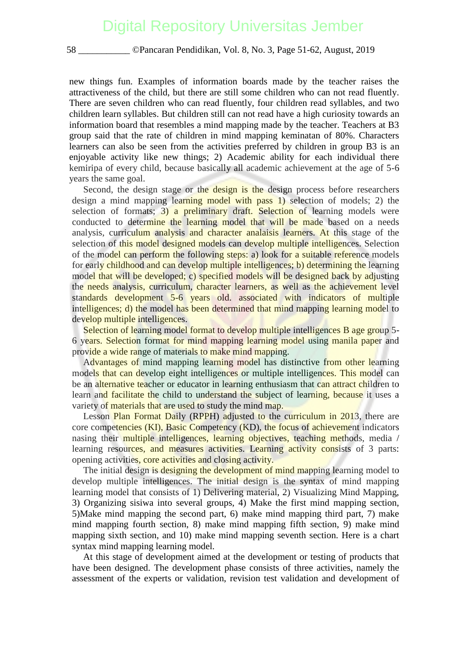new things fun. Examples of information boards made by the teacher raises the attractiveness of the child, but there are still some children who can not read fluently. There are seven children who can read fluently, four children read syllables, and two children learn syllables. But children still can not read have a high curiosity towards an information board that resembles a mind mapping made by the teacher. Teachers at B3 group said that the rate of children in mind mapping keminatan of 80%. Characters learners can also be seen from the activities preferred by children in group B3 is an enjoyable activity like new things; 2) Academic ability for each individual there kemiripa of every child, because basically all academic achievement at the age of 5-6 years the same goal.

Second, the design stage or the design is the design process before researchers [design a mind mapping learning model with pass 1\) selection of models; 2\) the](http://repository.unej.ac.id/) selection of formats;  $3$ ) a preliminary draft. Selection of learning models were conducted to determine the learning model that will be made based on a needs analysis, curriculum analysis and character analaisis learners. At this stage of the selection of this model designed models can develop multiple intelligences. Selection of the model can perform the following steps: a) look for a suitable reference models for early childhood and can develop multiple intelligences; b) determining the learning model that will be developed; c) specified models will be designed back by adjusting the needs analysis, curriculum, character learners, as well as the achievement level standards development 5-6 years old. associated with indicators of multiple intelligences; d) the model has been determined that mind mapping learning model to develop multiple intelligences.

Selection of learning model format to develop multiple intelligences B age group 5-6 years. Selection format for mind mapping learning model using manila paper and provide a wide range of materials to make mind mapping.

Advantages of mind mapping learning model has distinctive from other learning models that can develop eight intelligences or multiple intelligences. This model can be an alternative teacher or educator in learning enthusiasm that can attract children to learn and facilitate the child to understand the subject of learning, because it uses a variety of materials that are used to study the mind map.

Lesson Plan Format Daily (RPPH) adjusted to the curriculum in 2013, there are core competencies (KI), Basic Competency (KD), the focus of achievement indicators nasing their multiple intelligences, learning objectives, teaching methods, media / learning resources, and measures activities. Learning activity consists of 3 parts: opening activities, core activities and closing activity.

The initial design is designing the development of mind mapping learning model to develop multiple intelligences. The initial design is the syntax of mind mapping learning model that consists of 1) Delivering material, 2) Visualizing Mind Mapping, 3) Organizing sisiwa into several groups, 4) Make the first mind mapping section, 5)Make mind mapping the second part, 6) make mind mapping third part, 7) make mind mapping fourth section, 8) make mind mapping fifth section, 9) make mind mapping sixth section, and 10) make mind mapping seventh section. Here is a chart syntax mind mapping learning model.

At this stage of development aimed at the development or testing of products that have been designed. The development phase consists of three activities, namely the assessment of the experts or validation, revision test validation and development of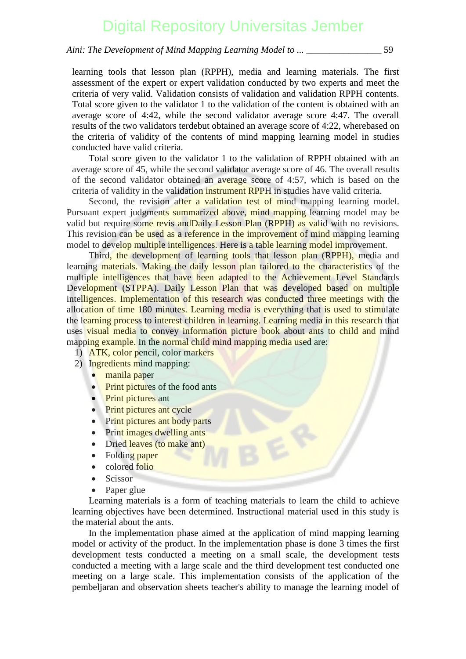*Aini: The Development of Mind Mapping Learning Model to ... \_\_\_\_\_\_\_\_\_\_\_\_\_\_\_\_* 59

learning tools that lesson plan (RPPH), media and learning materials. The first assessment of the expert or expert validation conducted by two experts and meet the criteria of very valid. Validation consists of validation and validation RPPH contents. Total score given to the validator 1 to the validation of the content is obtained with an average score of 4:42, while the second validator average score 4:47. The overall results of the two validators terdebut obtained an average score of 4:22, wherebased on the criteria of validity of the contents of mind mapping learning model in studies conducted have valid criteria.

Total score given to the validator 1 to the validation of RPPH obtained with an average score of 45, while the second validator average score of 46. The overall results of the second validator obtained an average score of 4:57, which is based on the criteria of validity in the validation instrument RPPH in studies have valid criteria.

Second, the revision after a validation test of mind mapping learning model. [Pursuant expert judgments summarized above, mind mapping learning model may be](http://repository.unej.ac.id/) valid but require some revis and Daily Lesson Plan (RPPH) as valid with no revisions. This revision can be used as a reference in the improvement of mind mapping learning model to develop multiple intelligences. Here is a table learning model improvement.

Third, the development of learning tools that lesson plan (RPPH), media and learning materials. Making the daily lesson plan tailored to the characteristics of the multiple intelligences that have been adapted to the Achievement Level Standards Development (STPPA). Daily Lesson Plan that was developed based on multiple intelligences. Implementation of this research was conducted three meetings with the allocation of time 180 minutes. Learning media is everything that is used to stimulate the learning process to interest children in learning. Learning media in this research that uses visual media to convey information picture book about ants to child and mind mapping example. In the normal child mind mapping media used are:

- 1) ATK, color pencil, color markers
- 2) Ingredients mind mapping:
	- manila paper
	- Print pictures of the food ants
	- **Print pictures ant**
	- Print pictures ant cycle
	- Print pictures ant body parts
	- Print images dwelling ants
	- Dried leaves (to make ant)
	- Folding paper
	- colored folio
	- Scissor
	- Paper glue

Learning materials is a form of teaching materials to learn the child to achieve learning objectives have been determined. Instructional material used in this study is the material about the ants.

In the implementation phase aimed at the application of mind mapping learning model or activity of the product. In the implementation phase is done 3 times the first development tests conducted a meeting on a small scale, the development tests conducted a meeting with a large scale and the third development test conducted one meeting on a large scale. This implementation consists of the application of the pembeljaran and observation sheets teacher's ability to manage the learning model of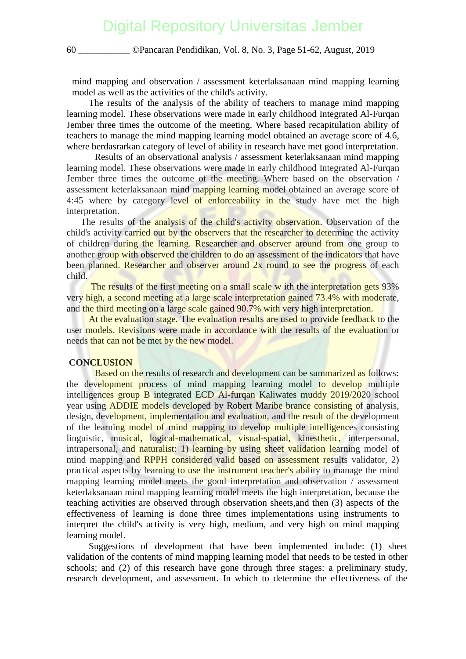mind mapping and observation / assessment keterlaksanaan mind mapping learning model as well as the activities of the child's activity.

The results of the analysis of the ability of teachers to manage mind mapping learning model. These observations were made in early childhood Integrated Al-Furqan Jember three times the outcome of the meeting. Where based recapitulation ability of teachers to manage the mind mapping learning model obtained an average score of 4.6, where berdasrarkan category of level of ability in research have met good interpretation.

Results of an observational analysis / assessment keterlaksanaan mind mapping learning model. These observations were made in early childhood Integrated Al-Furqan Jember three times the outcome of the meeting. Where based on the observation / [assessment keterlaksanaan mind mapping learning model obtained an average score o](http://repository.unej.ac.id/)f 4:45 where by category level of enforceability in the study have met the high interpretation.

The results of the analysis of the child's activity observation. Observation of the child's activity carried out by the observers that the researcher to determine the activity of children during the learning. Researcher and observer around from one group to another group with observed the children to do an assessment of the indicators that have been planned. Researcher and observer around 2x round to see the progress of each child.

The results of the first meeting on a small scale w ith the interpretation gets 93% very high, a second meeting at a large scale interpretation gained 73.4% with moderate. and the third meeting on a large scale gained 90.7% with very high interpretation.

At the evaluation stage. The evaluation results are used to provide feedback to the user models. Revisions were made in accordance with the results of the evaluation or needs that can not be met by the new model.

### **CONCLUSION**

Based on the results of research and development can be summarized as follows: the development process of mind mapping learning model to develop multiple intelligences group B integrated ECD Al-furqan Kaliwates muddy 2019/2020 school year using **ADDIE** models developed by Robert Maribe brance consisting of analysis, design, development, implementation and evaluation, and the result of the development of the learning model of mind mapping to develop multiple intelligences consisting linguistic, musical, logical-mathematical, visual-spatial, kinesthetic, interpersonal, intrapersonal, and naturalist: 1) learning by using sheet validation learning model of mind mapping and RPPH considered valid based on assessment results validator, 2) practical aspects by learning to use the instrument teacher's ability to manage the mind mapping learning model meets the good interpretation and observation / assessment keterlaksanaan mind mapping learning model meets the high interpretation, because the teaching activities are observed through observation sheets,and then (3) aspects of the effectiveness of learning is done three times implementations using instruments to interpret the child's activity is very high, medium, and very high on mind mapping learning model.

Suggestions of development that have been implemented include: (1) sheet validation of the contents of mind mapping learning model that needs to be tested in other schools; and (2) of this research have gone through three stages: a preliminary study, research development, and assessment. In which to determine the effectiveness of the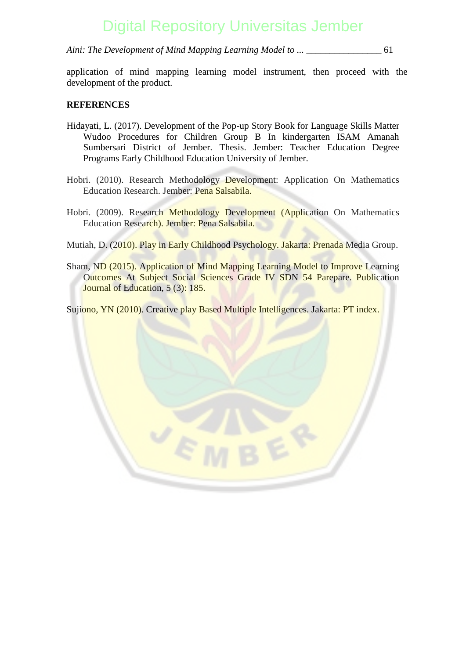*Aini: The Development of Mind Mapping Learning Model to ... \_\_\_\_\_\_\_\_\_\_\_\_\_\_\_\_* 61

application of mind mapping learning model instrument, then proceed with the development of the product.

### **REFERENCES**

- Hidayati, L. (2017). Development of the Pop-up Story Book for Language Skills Matter Wudoo Procedures for Children Group B In kindergarten ISAM Amanah Sumbersari District of Jember. Thesis. Jember: Teacher Education Degree Programs Early Childhood Education University of Jember.
- [Hobri. \(2010\). Research Methodology Development: Application On Mathematics](http://repository.unej.ac.id/) Education Research. Jember: Pena Salsabila.
- Hobri. (2009). Research Methodology Development (Application On Mathematics Education Research). Jember: Pena Salsabila.

Mutiah, D. (2010). Play in Early Childhood Psychology. Jakarta: Prenada Media Group.

Sham, ND (2015). Application of Mind Mapping Learning Model to Improve Learning Outcomes At Subject Social Sciences Grade IV SDN 54 Parepare. Publication Journal of Education, 5 (3): 185.

Sujiono, YN (2010). Creative play Based Multiple Intelligences. Jakarta: PT index.

VE